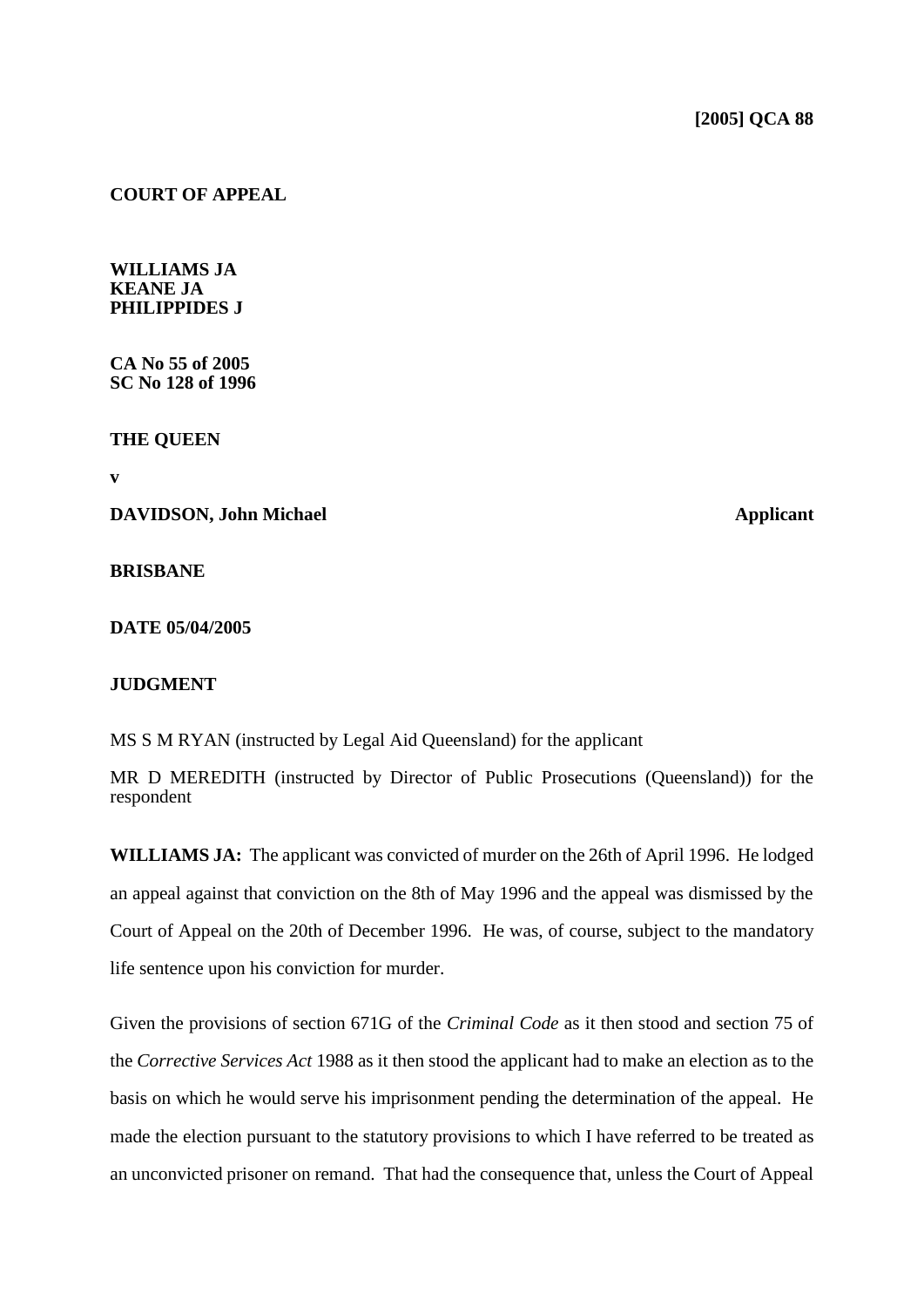## **COURT OF APPEAL**

**WILLIAMS JA KEANE JA PHILIPPIDES J**

**CA No 55 of 2005 SC No 128 of 1996**

**THE QUEEN**

**v**

**DAVIDSON, John Michael Applicant** 

**BRISBANE**

**DATE 05/04/2005**

## **JUDGMENT**

MS S M RYAN (instructed by Legal Aid Queensland) for the applicant

MR D MEREDITH (instructed by Director of Public Prosecutions (Queensland)) for the respondent

**WILLIAMS JA:** The applicant was convicted of murder on the 26th of April 1996. He lodged an appeal against that conviction on the 8th of May 1996 and the appeal was dismissed by the Court of Appeal on the 20th of December 1996. He was, of course, subject to the mandatory life sentence upon his conviction for murder.

Given the provisions of section 671G of the *Criminal Code* as it then stood and section 75 of the *Corrective Services Act* 1988 as it then stood the applicant had to make an election as to the basis on which he would serve his imprisonment pending the determination of the appeal. He made the election pursuant to the statutory provisions to which I have referred to be treated as an unconvicted prisoner on remand. That had the consequence that, unless the Court of Appeal